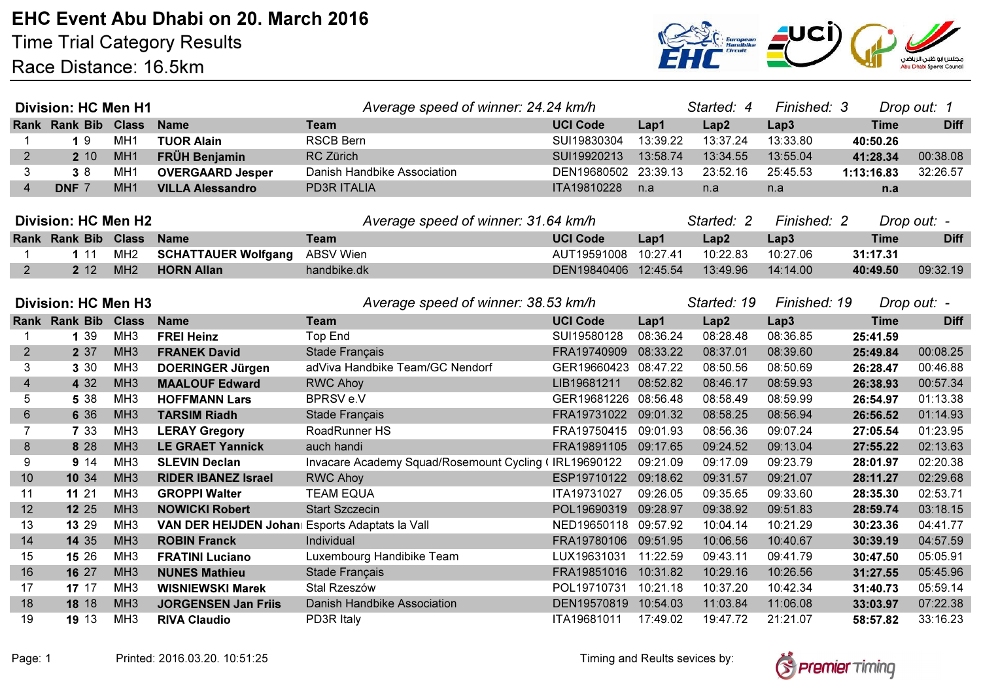Time Trial Category ResultsRace Distance: 16.5km



| <b>Division: HC Men H1</b> |                            |                 |                                                | Average speed of winner: 24.24 km/h                   |                      |          | Started: 4  | Finished: 3<br>Drop out: 1  |             |             |
|----------------------------|----------------------------|-----------------|------------------------------------------------|-------------------------------------------------------|----------------------|----------|-------------|-----------------------------|-------------|-------------|
|                            | Rank Rank Bib Class        |                 | <b>Name</b>                                    | <b>Team</b>                                           | <b>UCI Code</b>      | Lap1     | Lap2        | Lap3                        | <b>Time</b> | <b>Diff</b> |
|                            | 19                         | MH <sub>1</sub> | <b>TUOR Alain</b>                              | <b>RSCB Bern</b>                                      | SUI19830304          | 13:39.22 | 13:37.24    | 13:33.80                    | 40:50.26    |             |
| $\overline{2}$             | 2 10                       | MH <sub>1</sub> | <b>FRÜH Benjamin</b>                           | RC Zürich                                             | SUI19920213          | 13:58.74 | 13:34.55    | 13:55.04                    | 41:28.34    | 00:38.08    |
| 3                          | 38                         | MH <sub>1</sub> | <b>OVERGAARD Jesper</b>                        | Danish Handbike Association                           | DEN19680502 23:39.13 |          | 23:52.16    | 25:45.53                    | 1:13:16.83  | 32:26.57    |
| $\overline{4}$             | DNF 7                      | MH <sub>1</sub> | <b>VILLA Alessandro</b>                        | <b>PD3R ITALIA</b>                                    | ITA19810228          | n.a      | n.a         | n.a                         | n.a         |             |
|                            |                            |                 |                                                |                                                       |                      |          |             |                             |             |             |
| <b>Division: HC Men H2</b> |                            |                 |                                                | Average speed of winner: 31.64 km/h                   |                      |          | Started: 2  | Finished: 2                 |             | Drop out: - |
|                            | Rank Rank Bib Class        |                 | <b>Name</b>                                    | <b>Team</b>                                           | <b>UCI Code</b>      | Lap1     | Lap2        | Lap3                        | <b>Time</b> | <b>Diff</b> |
|                            | 111                        | MH <sub>2</sub> | <b>SCHATTAUER Wolfgang</b>                     | <b>ABSV Wien</b>                                      | AUT19591008 10:27.41 |          | 10:22.83    | 10:27.06                    | 31:17.31    |             |
| $\overline{2}$             | 2 12                       | MH <sub>2</sub> | <b>HORN Allan</b>                              | handbike.dk                                           | DEN19840406 12:45.54 |          | 13:49.96    | 14:14.00                    | 40:49.50    | 09:32.19    |
|                            |                            |                 |                                                |                                                       |                      |          |             |                             |             |             |
|                            | <b>Division: HC Men H3</b> |                 |                                                | Average speed of winner: 38.53 km/h                   |                      |          | Started: 19 | Finished: 19<br>Drop out: - |             |             |
|                            | Rank Rank Bib Class        |                 | <b>Name</b>                                    | <b>Team</b>                                           | <b>UCI Code</b>      | Lap1     | Lap2        | Lap3                        | <b>Time</b> | <b>Diff</b> |
|                            | 1 3 9                      | MH <sub>3</sub> | <b>FREI Heinz</b>                              | <b>Top End</b>                                        | SUI19580128          | 08:36.24 | 08:28.48    | 08:36.85                    | 25:41.59    |             |
| $\overline{2}$             | 2 37                       | MH <sub>3</sub> | <b>FRANEK David</b>                            | Stade Français                                        | FRA19740909          | 08:33.22 | 08:37.01    | 08:39.60                    | 25:49.84    | 00:08.25    |
| 3                          | 3 30                       | MH <sub>3</sub> | <b>DOERINGER Jürgen</b>                        | adViva Handbike Team/GC Nendorf                       | GER19660423 08:47.22 |          | 08:50.56    | 08:50.69                    | 26:28.47    | 00:46.88    |
| $\overline{4}$             | 4 3 2                      | MH <sub>3</sub> | <b>MAALOUF Edward</b>                          | <b>RWC Ahoy</b>                                       | LIB19681211          | 08:52.82 | 08:46.17    | 08:59.93                    | 26:38.93    | 00:57.34    |
| 5                          | 5 38                       | MH <sub>3</sub> | <b>HOFFMANN Lars</b>                           | BPRSV e.V                                             | GER19681226 08:56.48 |          | 08:58.49    | 08:59.99                    | 26:54.97    | 01:13.38    |
| $\,6$                      | 6 3 6                      | MH <sub>3</sub> | <b>TARSIM Riadh</b>                            | Stade Français                                        | FRA19731022 09:01.32 |          | 08:58.25    | 08:56.94                    | 26:56.52    | 01:14.93    |
| $\overline{7}$             | 7 3 3                      | MH <sub>3</sub> | <b>LERAY Gregory</b>                           | RoadRunner HS                                         | FRA19750415 09:01.93 |          | 08:56.36    | 09:07.24                    | 27:05.54    | 01:23.95    |
| $\bf 8$                    | 8 2 8                      | MH <sub>3</sub> | <b>LE GRAET Yannick</b>                        | auch handi                                            | FRA19891105 09:17.65 |          | 09:24.52    | 09:13.04                    | 27:55.22    | 02:13.63    |
| 9                          | 9 14                       | MH <sub>3</sub> | <b>SLEVIN Declan</b>                           | Invacare Academy Squad/Rosemount Cycling (IRL19690122 |                      | 09:21.09 | 09:17.09    | 09:23.79                    | 28:01.97    | 02:20.38    |
| 10                         | 10 34                      | MH <sub>3</sub> | <b>RIDER IBANEZ Israel</b>                     | <b>RWC Ahoy</b>                                       | ESP19710122 09:18.62 |          | 09:31.57    | 09:21.07                    | 28:11.27    | 02:29.68    |
| 11                         | 11 21                      | MH <sub>3</sub> | <b>GROPPI Walter</b>                           | <b>TEAM EQUA</b>                                      | ITA19731027          | 09:26.05 | 09:35.65    | 09:33.60                    | 28:35.30    | 02:53.71    |
| 12                         | 12 25                      | MH <sub>3</sub> | <b>NOWICKI Robert</b>                          | <b>Start Szczecin</b>                                 | POL19690319 09:28.97 |          | 09:38.92    | 09:51.83                    | 28:59.74    | 03:18.15    |
| 13                         | 13 29                      | MH <sub>3</sub> | VAN DER HEIJDEN Johan Esports Adaptats la Vall |                                                       | NED19650118 09:57.92 |          | 10:04.14    | 10:21.29                    | 30:23.36    | 04:41.77    |
| 14                         | 14 35                      | MH <sub>3</sub> | <b>ROBIN Franck</b>                            | Individual                                            | FRA19780106 09:51.95 |          | 10:06.56    | 10:40.67                    | 30:39.19    | 04:57.59    |
| 15                         | 15 26                      | MH <sub>3</sub> | <b>FRATINI Luciano</b>                         | Luxembourg Handibike Team                             | LUX19631031 11:22.59 |          | 09:43.11    | 09:41.79                    | 30:47.50    | 05:05.91    |
| 16                         | 16 27                      | MH <sub>3</sub> | <b>NUNES Mathieu</b>                           | Stade Français                                        | FRA19851016          | 10:31.82 | 10:29.16    | 10:26.56                    | 31:27.55    | 05:45.96    |
| 17                         | 17 17                      | MH <sub>3</sub> | <b>WISNIEWSKI Marek</b>                        | Stal Rzeszów                                          | POL19710731 10:21.18 |          | 10:37.20    | 10:42.34                    | 31:40.73    | 05:59.14    |
| 18                         | 18 18                      | MH <sub>3</sub> | <b>JORGENSEN Jan Friis</b>                     | Danish Handbike Association                           | DEN19570819 10:54.03 |          | 11:03.84    | 11:06.08                    | 33:03.97    | 07:22.38    |
| 19                         | 19 13                      | MH <sub>3</sub> | <b>RIVA Claudio</b>                            | PD3R Italy                                            | ITA19681011          | 17:49.02 | 19:47.72    | 21:21.07                    | 58:57.82    | 33:16.23    |

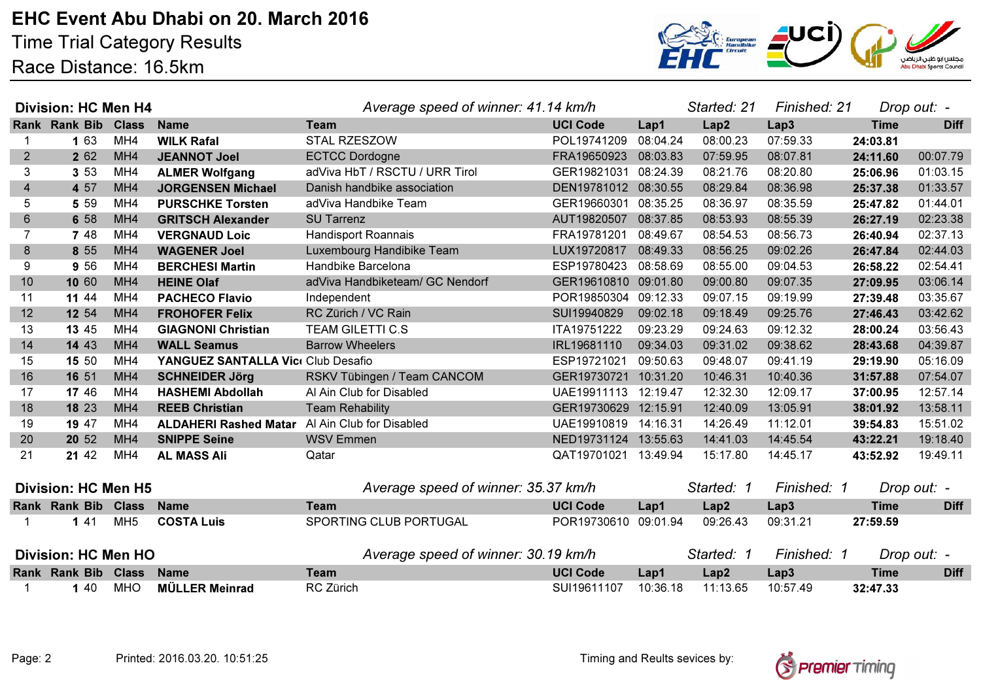EHC Event Abu Dhabi on 20. March 2016

Time Trial Category ResultsRace Distance: 16.5km



| <b>Division: HC Men H4</b> |                      |                 |                                                       | Average speed of winner: 41.14 km/h |                      |          | Started: 21 | Finished: 21 | Drop out: - |             |
|----------------------------|----------------------|-----------------|-------------------------------------------------------|-------------------------------------|----------------------|----------|-------------|--------------|-------------|-------------|
|                            | <b>Rank Rank Bib</b> | <b>Class</b>    | <b>Name</b>                                           | <b>Team</b>                         | <b>UCI Code</b>      | Lap1     | Lap2        | Lap3         | <b>Time</b> | <b>Diff</b> |
|                            | 1 63                 | MH4             | <b>WILK Rafal</b>                                     | <b>STAL RZESZOW</b>                 | POL19741209          | 08:04.24 | 08:00.23    | 07:59.33     | 24:03.81    |             |
| 2                          | 2 6 2                | MH4             | <b>JEANNOT Joel</b>                                   | <b>ECTCC Dordogne</b>               | FRA19650923 08:03.83 |          | 07:59.95    | 08:07.81     | 24:11.60    | 00:07.79    |
| 3                          | 3 5 3                | MH4             | <b>ALMER Wolfgang</b>                                 | adViva HbT / RSCTU / URR Tirol      | GER19821031 08:24.39 |          | 08:21.76    | 08:20.80     | 25:06.96    | 01:03.15    |
| $\overline{4}$             | 4 57                 | MH <sub>4</sub> | <b>JORGENSEN Michael</b>                              | Danish handbike association         | DEN19781012 08:30.55 |          | 08:29.84    | 08:36.98     | 25:37.38    | 01:33.57    |
| 5                          | 5 5 9                | MH4             | <b>PURSCHKE Torsten</b>                               | adViva Handbike Team                | GER19660301 08:35.25 |          | 08:36.97    | 08:35.59     | 25:47.82    | 01:44.01    |
| $6\phantom{1}6$            | 6 58                 | MH4             | <b>GRITSCH Alexander</b>                              | <b>SU Tarrenz</b>                   | AUT19820507 08:37.85 |          | 08:53.93    | 08:55.39     | 26:27.19    | 02:23.38    |
| $\overline{7}$             | 7 48                 | MH4             | <b>VERGNAUD Loic</b>                                  | <b>Handisport Roannais</b>          | FRA19781201          | 08:49.67 | 08:54.53    | 08:56.73     | 26:40.94    | 02:37.13    |
| 8                          | 8 5 5                | MH4             | <b>WAGENER Joel</b>                                   | Luxembourg Handibike Team           | LUX19720817 08:49.33 |          | 08:56.25    | 09:02.26     | 26:47.84    | 02:44.03    |
| 9                          | 9 56                 | MH4             | <b>BERCHESI Martin</b>                                | Handbike Barcelona                  | ESP19780423          | 08:58.69 | 08:55.00    | 09:04.53     | 26:58.22    | 02:54.41    |
| 10                         | 10 60                | MH4             | <b>HEINE Olaf</b>                                     | adViva Handbiketeam/ GC Nendorf     | GER19610810 09:01.80 |          | 09:00.80    | 09:07.35     | 27:09.95    | 03:06.14    |
| 11                         | 11 44                | MH4             | <b>PACHECO Flavio</b>                                 | Independent                         | POR19850304 09:12.33 |          | 09:07.15    | 09:19.99     | 27:39.48    | 03:35.67    |
| 12                         | 12 54                | MH4             | <b>FROHOFER Felix</b>                                 | RC Zürich / VC Rain                 | SUI19940829          | 09:02.18 | 09:18.49    | 09:25.76     | 27:46.43    | 03:42.62    |
| 13                         | 13 45                | MH4             | <b>GIAGNONI Christian</b>                             | <b>TEAM GILETTI C.S</b>             | ITA19751222          | 09:23.29 | 09:24.63    | 09:12.32     | 28:00.24    | 03:56.43    |
| 14                         | 14 43                | MH <sub>4</sub> | <b>WALL Seamus</b>                                    | <b>Barrow Wheelers</b>              | IRL19681110          | 09:34.03 | 09:31.02    | 09:38.62     | 28:43.68    | 04:39.87    |
| 15                         | 15 50                | MH4             | YANGUEZ SANTALLA Vici Club Desafio                    |                                     | ESP19721021          | 09:50.63 | 09:48.07    | 09:41.19     | 29:19.90    | 05:16.09    |
| 16                         | 16 51                | MH4             | <b>SCHNEIDER Jörg</b>                                 | RSKV Tübingen / Team CANCOM         | GER19730721          | 10:31.20 | 10:46.31    | 10:40.36     | 31:57.88    | 07:54.07    |
| 17                         | 17 46                | MH4             | <b>HASHEMI Abdollah</b>                               | Al Ain Club for Disabled            | UAE19911113          | 12:19.47 | 12:32.30    | 12:09.17     | 37:00.95    | 12:57.14    |
| 18                         | 18 23                | MH4             | <b>REEB Christian</b>                                 | <b>Team Rehability</b>              | GER19730629 12:15.91 |          | 12:40.09    | 13:05.91     | 38:01.92    | 13:58.11    |
| 19                         | 19 47                | MH4             | <b>ALDAHERI Rashed Matar</b> Al Ain Club for Disabled |                                     | UAE19910819          | 14:16.31 | 14:26.49    | 11:12.01     | 39:54.83    | 15:51.02    |
| 20                         | 20 52                | MH4             | <b>SNIPPE Seine</b>                                   | <b>WSV Emmen</b>                    | NED19731124          | 13:55.63 | 14:41.03    | 14:45.54     | 43:22.21    | 19:18.40    |
| 21                         | 21 42                | MH4             | <b>AL MASS Ali</b>                                    | Qatar                               | QAT19701021          | 13:49.94 | 15:17.80    | 14:45.17     | 43:52.92    | 19:49.11    |
| <b>Division: HC Men H5</b> |                      |                 |                                                       | Average speed of winner: 35.37 km/h |                      |          | Started: 1  | Finished: 1  |             | Drop out: - |
|                            | Rank Rank Bib Class  |                 | <b>Name</b>                                           | <b>Team</b>                         | <b>UCI Code</b>      | Lap1     | Lap2        | Lap3         | <b>Time</b> | <b>Diff</b> |
|                            | 141                  | MH <sub>5</sub> | <b>COSTA Luis</b>                                     | SPORTING CLUB PORTUGAL              | POR19730610 09:01.94 |          | 09:26.43    | 09:31.21     | 27:59.59    |             |
| <b>Division: HC Men HO</b> |                      |                 |                                                       | Average speed of winner: 30.19 km/h |                      |          | Started: 1  | Finished: 1  | Drop out: - |             |
|                            | Rank Rank Bib        | <b>Class</b>    | <b>Name</b>                                           | <b>Team</b>                         | <b>UCI Code</b>      | Lap1     | Lap2        | Lap3         | <b>Time</b> | <b>Diff</b> |
|                            | 1 40                 | <b>MHO</b>      | <b>MÜLLER Meinrad</b>                                 | RC Zürich                           | SUI19611107          | 10:36.18 | 11:13.65    | 10:57.49     | 32:47.33    |             |
|                            |                      |                 |                                                       |                                     |                      |          |             |              |             |             |